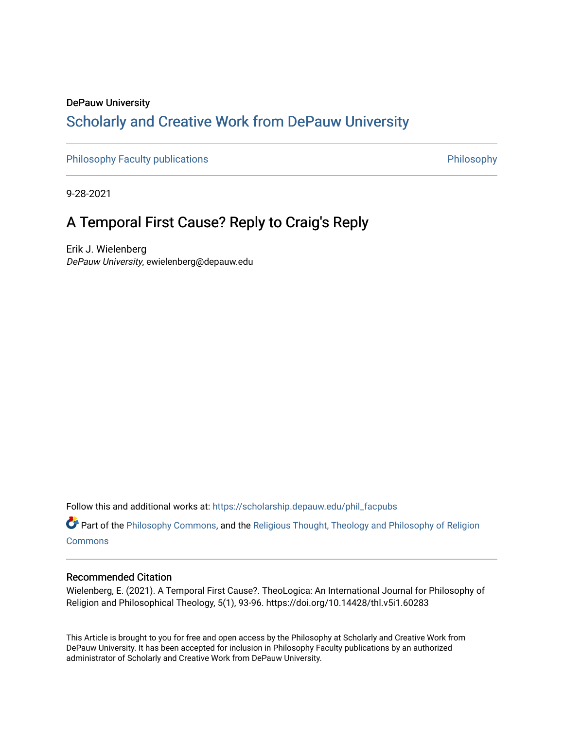### DePauw University Scholarly and [Creative Work from DePauw Univ](https://scholarship.depauw.edu/)ersity

[Philosophy Faculty publications](https://scholarship.depauw.edu/phil_facpubs) **Philosophy** Philosophy

9-28-2021

## A Temporal First Cause? Reply to Craig's Reply

Erik J. Wielenberg DePauw University, ewielenberg@depauw.edu

Follow this and additional works at: [https://scholarship.depauw.edu/phil\\_facpubs](https://scholarship.depauw.edu/phil_facpubs?utm_source=scholarship.depauw.edu%2Fphil_facpubs%2F12&utm_medium=PDF&utm_campaign=PDFCoverPages) 

Part of the [Philosophy Commons,](https://network.bepress.com/hgg/discipline/525?utm_source=scholarship.depauw.edu%2Fphil_facpubs%2F12&utm_medium=PDF&utm_campaign=PDFCoverPages) and the [Religious Thought, Theology and Philosophy of Religion](https://network.bepress.com/hgg/discipline/544?utm_source=scholarship.depauw.edu%2Fphil_facpubs%2F12&utm_medium=PDF&utm_campaign=PDFCoverPages)  **[Commons](https://network.bepress.com/hgg/discipline/544?utm_source=scholarship.depauw.edu%2Fphil_facpubs%2F12&utm_medium=PDF&utm_campaign=PDFCoverPages)** 

#### Recommended Citation

Wielenberg, E. (2021). A Temporal First Cause?. TheoLogica: An International Journal for Philosophy of Religion and Philosophical Theology, 5(1), 93-96. https://doi.org/10.14428/thl.v5i1.60283

This Article is brought to you for free and open access by the Philosophy at Scholarly and Creative Work from DePauw University. It has been accepted for inclusion in Philosophy Faculty publications by an authorized administrator of Scholarly and Creative Work from DePauw University.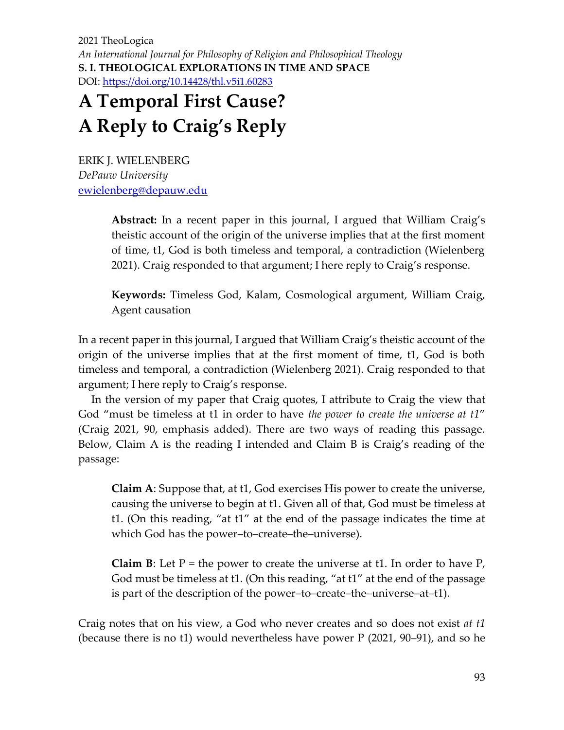2021 TheoLogica *An International Journal for Philosophy of Religion and Philosophical Theology* **S. I. THEOLOGICAL EXPLORATIONS IN TIME AND SPACE** DOI: <https://doi.org/10.14428/thl.v5i1.60283>

# **A Temporal First Cause? A Reply to Craig's Reply**

ERIK J. WIELENBERG *DePauw University* [ewielenberg@depauw.edu](mailto:ewielenberg@depauw.edu)

> **Abstract:** In a recent paper in this journal, I argued that William Craig's theistic account of the origin of the universe implies that at the first moment of time, t1, God is both timeless and temporal, a contradiction (Wielenberg 2021). Craig responded to that argument; I here reply to Craig's response.

> **Keywords:** Timeless God, Kalam, Cosmological argument, William Craig, Agent causation

In a recent paper in this journal, I argued that William Craig's theistic account of the origin of the universe implies that at the first moment of time, t1, God is both timeless and temporal, a contradiction (Wielenberg 2021). Craig responded to that argument; I here reply to Craig's response.

In the version of my paper that Craig quotes, I attribute to Craig the view that God "must be timeless at t1 in order to have *the power to create the universe at t1*" (Craig 2021, 90, emphasis added). There are two ways of reading this passage. Below, Claim A is the reading I intended and Claim B is Craig's reading of the passage:

**Claim A**: Suppose that, at t1, God exercises His power to create the universe, causing the universe to begin at t1. Given all of that, God must be timeless at t1. (On this reading, "at t1" at the end of the passage indicates the time at which God has the power–to–create–the–universe).

**Claim B**: Let  $P =$  the power to create the universe at t1. In order to have  $P$ , God must be timeless at t1. (On this reading, "at t1" at the end of the passage is part of the description of the power–to–create–the–universe–at–t1).

Craig notes that on his view, a God who never creates and so does not exist *at t1* (because there is no t1) would nevertheless have power P (2021, 90–91), and so he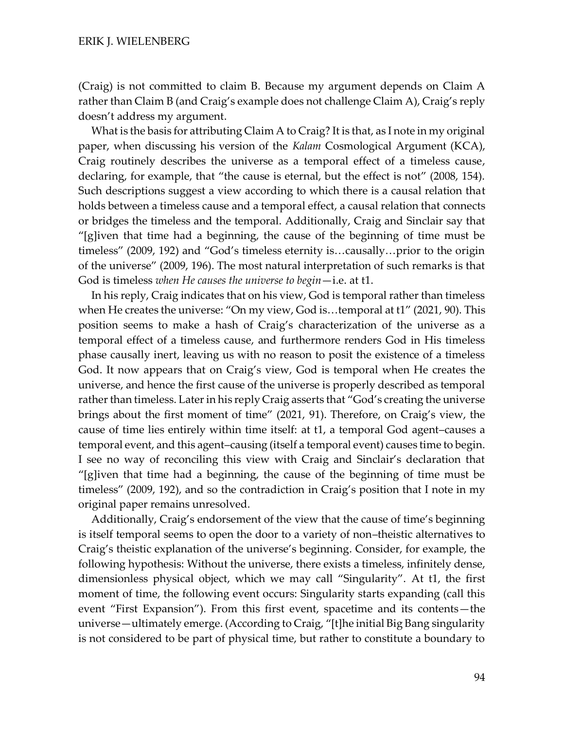(Craig) is not committed to claim B. Because my argument depends on Claim A rather than Claim B (and Craig's example does not challenge Claim A), Craig's reply doesn't address my argument.

What is the basis for attributing Claim A to Craig? It is that, as I note in my original paper, when discussing his version of the *Kalam* Cosmological Argument (KCA), Craig routinely describes the universe as a temporal effect of a timeless cause, declaring, for example, that "the cause is eternal, but the effect is not" (2008, 154). Such descriptions suggest a view according to which there is a causal relation that holds between a timeless cause and a temporal effect, a causal relation that connects or bridges the timeless and the temporal. Additionally, Craig and Sinclair say that "[g]iven that time had a beginning, the cause of the beginning of time must be timeless" (2009, 192) and "God's timeless eternity is…causally…prior to the origin of the universe" (2009, 196). The most natural interpretation of such remarks is that God is timeless *when He causes the universe to begin*—i.e. at t1.

In his reply, Craig indicates that on his view, God is temporal rather than timeless when He creates the universe: "On my view, God is…temporal at t1" (2021, 90). This position seems to make a hash of Craig's characterization of the universe as a temporal effect of a timeless cause, and furthermore renders God in His timeless phase causally inert, leaving us with no reason to posit the existence of a timeless God. It now appears that on Craig's view, God is temporal when He creates the universe, and hence the first cause of the universe is properly described as temporal rather than timeless. Later in his reply Craig asserts that "God's creating the universe brings about the first moment of time" (2021, 91). Therefore, on Craig's view, the cause of time lies entirely within time itself: at t1, a temporal God agent–causes a temporal event, and this agent–causing (itself a temporal event) causes time to begin. I see no way of reconciling this view with Craig and Sinclair's declaration that "[g]iven that time had a beginning, the cause of the beginning of time must be timeless" (2009, 192), and so the contradiction in Craig's position that I note in my original paper remains unresolved.

Additionally, Craig's endorsement of the view that the cause of time's beginning is itself temporal seems to open the door to a variety of non–theistic alternatives to Craig's theistic explanation of the universe's beginning. Consider, for example, the following hypothesis: Without the universe, there exists a timeless, infinitely dense, dimensionless physical object, which we may call "Singularity". At t1, the first moment of time, the following event occurs: Singularity starts expanding (call this event "First Expansion"). From this first event, spacetime and its contents—the universe—ultimately emerge. (According to Craig, "[t]he initial Big Bang singularity is not considered to be part of physical time, but rather to constitute a boundary to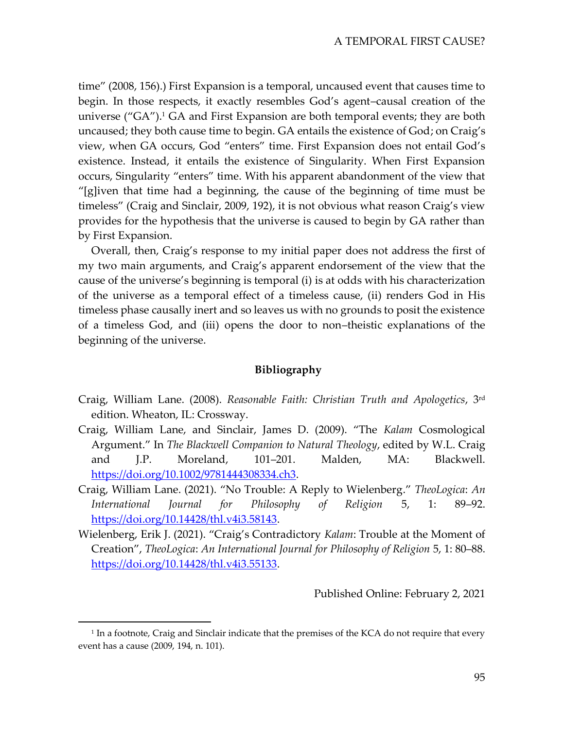time" (2008, 156).) First Expansion is a temporal, uncaused event that causes time to begin. In those respects, it exactly resembles God's agent–causal creation of the universe  $("GA")$ .<sup>1</sup> GA and First Expansion are both temporal events; they are both uncaused; they both cause time to begin. GA entails the existence of God; on Craig's view, when GA occurs, God "enters" time. First Expansion does not entail God's existence. Instead, it entails the existence of Singularity. When First Expansion occurs, Singularity "enters" time. With his apparent abandonment of the view that "[g]iven that time had a beginning, the cause of the beginning of time must be timeless" (Craig and Sinclair, 2009, 192), it is not obvious what reason Craig's view provides for the hypothesis that the universe is caused to begin by GA rather than by First Expansion.

Overall, then, Craig's response to my initial paper does not address the first of my two main arguments, and Craig's apparent endorsement of the view that the cause of the universe's beginning is temporal (i) is at odds with his characterization of the universe as a temporal effect of a timeless cause, (ii) renders God in His timeless phase causally inert and so leaves us with no grounds to posit the existence of a timeless God, and (iii) opens the door to non–theistic explanations of the beginning of the universe.

### **Bibliography**

- Craig, William Lane. (2008). *Reasonable Faith: Christian Truth and Apologetics*, 3rd edition. Wheaton, IL: Crossway.
- Craig, William Lane, and Sinclair, James D. (2009). "The *Kalam* Cosmological Argument." In *The Blackwell Companion to Natural Theology*, edited by W.L. Craig and J.P. Moreland, 101–201. Malden, MA: Blackwell. [https://doi.org/10.1002/9781444308334.ch3.](https://doi.org/10.1002/9781444308334.ch3)
- Craig, William Lane. (2021). "No Trouble: A Reply to Wielenberg." *TheoLogica*: *An International Journal for Philosophy of Religion* 5, 1: 89–92. [https://doi.org/10.14428/thl.v4i3.58143.](https://doi.org/10.14428/thl.v4i3.58143)
- Wielenberg, Erik J. (2021). "Craig's Contradictory *Kalam*: Trouble at the Moment of Creation", *TheoLogica*: *An International Journal for Philosophy of Religion* 5, 1: 80–88. [https://doi.org/10.14428/thl.v4i3.55133.](https://doi.org/10.14428/thl.v4i3.55133)

Published Online: February 2, 2021

 $^1$  In a footnote, Craig and Sinclair indicate that the premises of the KCA do not require that every event has a cause (2009, 194, n. 101).